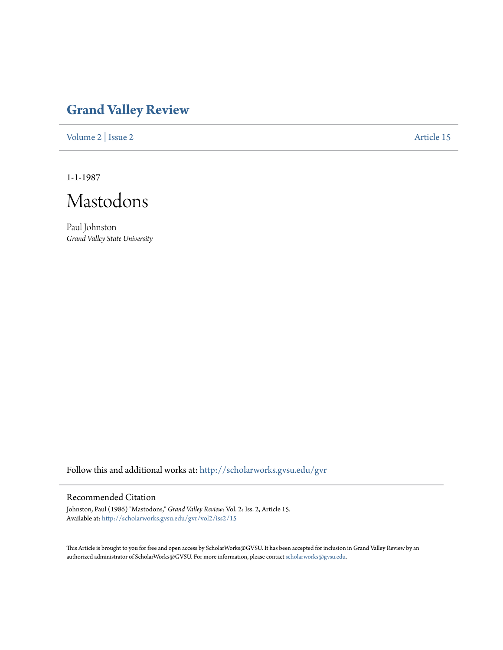## **[Grand Valley Review](http://scholarworks.gvsu.edu/gvr?utm_source=scholarworks.gvsu.edu%2Fgvr%2Fvol2%2Fiss2%2F15&utm_medium=PDF&utm_campaign=PDFCoverPages)**

[Volume 2](http://scholarworks.gvsu.edu/gvr/vol2?utm_source=scholarworks.gvsu.edu%2Fgvr%2Fvol2%2Fiss2%2F15&utm_medium=PDF&utm_campaign=PDFCoverPages) | [Issue 2](http://scholarworks.gvsu.edu/gvr/vol2/iss2?utm_source=scholarworks.gvsu.edu%2Fgvr%2Fvol2%2Fiss2%2F15&utm_medium=PDF&utm_campaign=PDFCoverPages) [Article 15](http://scholarworks.gvsu.edu/gvr/vol2/iss2/15?utm_source=scholarworks.gvsu.edu%2Fgvr%2Fvol2%2Fiss2%2F15&utm_medium=PDF&utm_campaign=PDFCoverPages)

1-1-1987

Mastodons

Paul Johnston *Grand Valley State University*

Follow this and additional works at: [http://scholarworks.gvsu.edu/gvr](http://scholarworks.gvsu.edu/gvr?utm_source=scholarworks.gvsu.edu%2Fgvr%2Fvol2%2Fiss2%2F15&utm_medium=PDF&utm_campaign=PDFCoverPages)

## Recommended Citation

Johnston, Paul (1986) "Mastodons," *Grand Valley Review*: Vol. 2: Iss. 2, Article 15. Available at: [http://scholarworks.gvsu.edu/gvr/vol2/iss2/15](http://scholarworks.gvsu.edu/gvr/vol2/iss2/15?utm_source=scholarworks.gvsu.edu%2Fgvr%2Fvol2%2Fiss2%2F15&utm_medium=PDF&utm_campaign=PDFCoverPages)

This Article is brought to you for free and open access by ScholarWorks@GVSU. It has been accepted for inclusion in Grand Valley Review by an authorized administrator of ScholarWorks@GVSU. For more information, please contact [scholarworks@gvsu.edu.](mailto:scholarworks@gvsu.edu)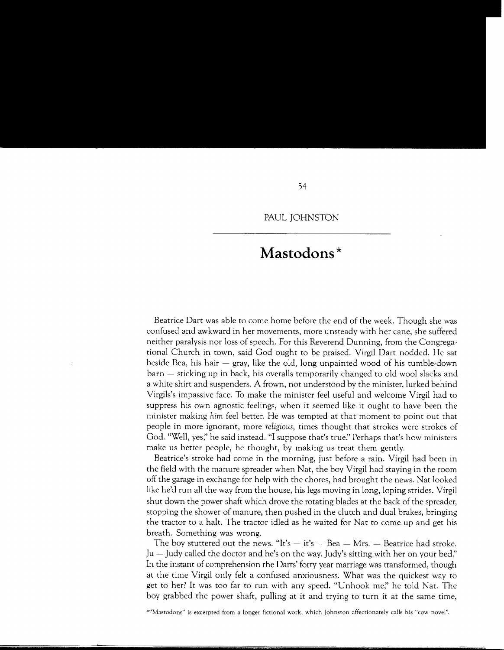## **Mastodons\***

Beatrice Dart was able to come home before the end of the week. Though she was confused and awkward in her movements, more unsteady with her cane, she suffered neither paralysis nor loss of speech. For this Reverend Dunning, from the Congregational Church in town, said God ought to be praised. Virgil Dart nodded. He sat beside Bea, his hair  $-$  gray, like the old, long unpainted wood of his tumble-down  $\bar{b}$  barn  $-$  sticking up in back, his overalls temporarily changed to old wool slacks and a white shirt and suspenders. A frown, not understood by the minister, lurked behind Virgils's impassive face. To make the minister feel useful and welcome Virgil had to suppress his own agnostic feelings, when it seemed like it ought to have been the minister making *him* feel better. He was tempted at that moment to point out that people in more ignorant, more *religious,* times thought that strokes were strokes of God. "Well, yes;' he said instead. "I suppose that's *true:'* Perhaps that's how ministers make us better people, he thought, by making us treat them gently.

Beatrice's stroke had come in the morning, just before a rain. Virgil had been in the field with the manure spreader when Nat, the boy Virgil had staying in the room off the garage in exchange for help with the chores, had brought the news. Nat looked like he'd run all the way from the house, his legs moving in long, loping strides. Virgil shut down the power shaft which drove the rotating blades at the back of the spreader, stopping the shower of manure, then pushed in the clutch and dual brakes, bringing the tractor to a halt. The tractor idled as he waited for Nat to come up and get his breath. Something was wrong.

The boy stuttered out the news. "It's  $-$  it's  $-$  Bea  $-$  Mrs.  $-$  Beatrice had stroke. Ju-Judy called the doctor and he's on the way. Judy's sitting with her on your bed:' In the instant of comprehension the Darts' forty year marriage was transformed, though at the time Virgil only felt a confused anxiousness. What was the quickest way to get to her? It was too far to run with any speed. "Unhook me;' he told Nat. The boy grabbed the power shaft, pulling at it and trying to turn it at the same time,

\*"Mastodons" is excerpted from a longer fictional work, which Johnston affectionately calls his "cow novel".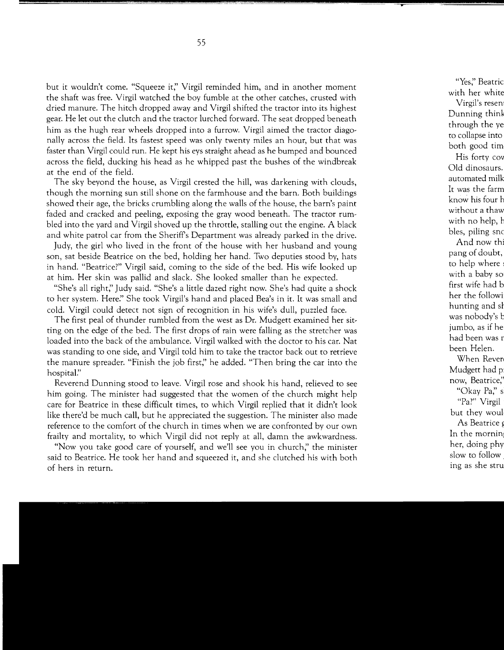but it wouldn't come. "Squeeze it;' Virgil reminded him, and in another moment the shaft was free. Virgil watched the boy fumble at the other catches, crusted with dried manure. The hitch dropped away and Virgil shifted the tractor into its highest gear. He let out the clutch and the tractor lurched forward. The seat dropped beneath him as the hugh rear wheels dropped into a furrow. Virgil aimed the tractor diagonally across the field. Its fastest speed was only twenty miles an hour, but that was faster than Virgil could run. He kept his eys straight ahead as he bumped and bounced across the field, ducking his head as he whipped past the bushes of the windbreak at the end of the field.

The sky beyond the house, as Virgil crested the hill, was darkening with clouds, though the morning sun still shone on the farmhouse and the barn. Both buildings showed their age, the bricks crumbling along the walls of the house, the barn's paint faded and cracked and peeling, exposing the gray wood beneath. The tractor rumbled into the yard and Virgil shoved up the throttle, stalling out the engine. A black and white patrol car from the Sheriffs Department was already parked in the drive.

Judy, the girl who lived in the front of the house with her husband and young son, sat beside Beatrice on the bed, holding her hand. Two deputies stood by, hats in hand. "Beatrice?" Virgil said, coming to the side of the bed. His wife looked up at him. Her skin was pallid and slack. She looked smaller than he expected.

"She's all right;' Judy said. "She's a little dazed right now. She's had quite a shock to her system. *Here:'* She took Virgil's hand and placed Bea's in it. It was small and cold. Virgil could detect not sign of recognition in his wife's dull, puzzled face.

The first peal of thunder rumbled from the west as Dr. Mudgett examined her sitting on the edge of the bed. The first drops of rain were falling as the stretcher was loaded into the back of the ambulance. Virgil walked with the doctor to his car. Nat was standing to one side, and Virgil told him to take the tractor back out to retrieve the manure spreader. "Finish the job first;' he added. "Then bring the car into the hospital?'

Reverend Dunning stood to leave. Virgil rose and shook his hand, relieved to see him going. The minister had suggested that the women of the church might help care for Beatrice in these difficult times, to which Virgil replied that it didn't look like there'd be much call, but he appreciated the suggestion. The minister also made reference to the comfort of the church in times when we are confronted by our own frailty and mortality, to which Virgil did not reply at all, damn the awkwardness.

"Now you take good care of yourself, and we'll see you in church;' the minister said to Beatrice. He took her hand and squeezed it, and she clutched his with both of hers in return.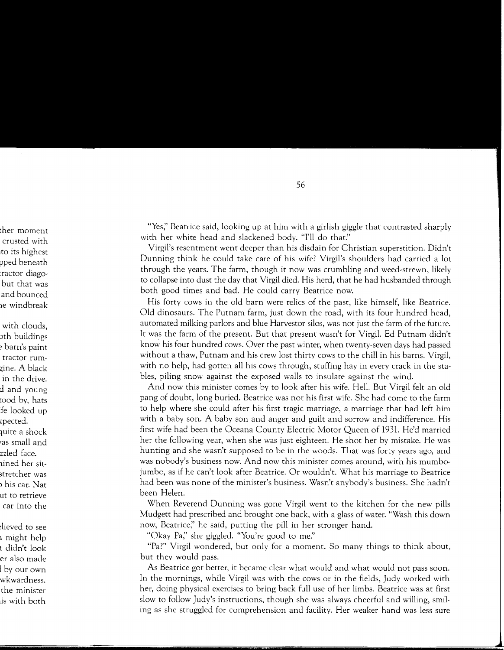"Yes;' Beatrice said, looking up at him with a girlish giggle that contrasted sharply with her white head and slackened body. "I'll do that."

Virgil's resentment went deeper than his disdain for Christian superstition. Didn't Dunning think he could take care of his wife? Virgil's shoulders had carried a lot through the years. The farm, though it now was crumbling and weed-strewn, likely to collapse into dust the day that Virgil died. His herd, that he had husbanded through both good times and bad. He could carry Beatrice now.

His forty cows in the old barn were relics of the past, like himself, like Beatrice. Old dinosaurs. The Putnam farm, just down the road, with its four hundred head, automated milking parlors and blue Harvestor silos, was not just the farm of the future. It was the farm of the present. But that present wasn't for Virgil. Ed Putnam didn't know his four hundred cows. Over the past winter, when twenty-seven days had passed without a thaw, Putnam and his crew lost thirty cows to the chill in his barns. Virgil, with no help, had gotten all his cows through, stuffing hay in every crack in the stables, piling snow against the exposed walls to insulate against the wind.

And now this minister comes by to look after his wife. Hell. But Virgil felt an old pang of doubt, long buried. Beatrice was not his first wife. She had come to the farm to help where she could after his first tragic marriage, a marriage that had left him with a baby son. A baby son and anger and guilt and sorrow and indifference. His first wife had been the Oceana County Electric Motor Queen of 1931. He'd married her the following year, when she was just eighteen. He shot her by mistake. He was hunting and she wasn't supposed to be in the woods. That was forty years ago, and was nobody's business now. And now this minister comes around, with his mumbojumbo, as if he can't look after Beatrice. Or wouldn't. What his marriage to Beatrice had been was none of the minister's business. Wasn't any body's business. She hadn't been Helen.

When Reverend Dunning was gone Virgil went to the kitchen for the new pills Mudgett had prescribed and brought one back, with a glass of water. "Wash this down now, Beatrice;' he said, putting the pill in her stronger hand.

"Okay Pa;' she giggled. "You're good to *me:'* 

"Pa?" Virgil wondered, but only for a moment. So many things to think about, but they would pass.

As Beatrice got better, it became clear what would and what would not pass soon. In the mornings, while Virgil was with the cows or in the fields, Judy worked with her, doing physical exercises to bring back full use of her limbs. Beatrice was at first slow to follow Judy's instructions, though she was always cheerful and willing, smiling as she struggled for comprehension and facility. Her weaker hand was less sure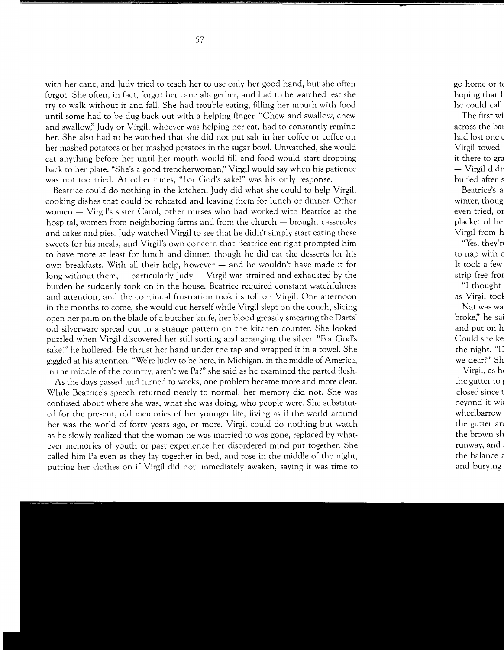with her cane, and Judy tried to teach her to use only her good hand, but she often forgot. She often, in fact, forgot her cane altogether, and had to be watched lest she try to walk without it and fall. She had trouble eating, filling her mouth with food until some had to be dug back out with a helping finger. "Chew and swallow, chew and swallow;' Judy or Virgil, whoever was helping her eat, had to constantly remind her. She also had to be watched that she did not put salt in her coffee or coffee on her mashed potatoes or her mashed potatoes in the sugar bowl. Unwatched, she would eat anything before her until her mouth would fill and food would start dropping back to her plate. "She's a good trencherwoman;' Virgil would say when his patience was not too tried. At other times, "For God's sake!" was his only response.

Beatrice could do nothing in the kitchen. Judy did what she could to help Virgil, cooking dishes that could be reheated and leaving them for lunch or dinner. Other women - Virgil's sister Carol, other nurses who had worked with Beatrice at the hospital, women from neighboring farms and from the church – brought casseroles and cakes and pies. Judy watched Virgil to see that he didn't simply start eating these sweets for his meals, and Virgil's own concern that Beatrice eat right prompted him to have more at least for lunch and dinner, though he did eat the desserts for his own breakfasts. With all their help, however  $-$  and he wouldn't have made it for long without them,  $-$  particularly Judy  $-$  Virgil was strained and exhausted by the burden he suddenly took on in the house. Beatrice required constant watchfulness and attention, and the continual frustration took its toll on Virgil. One afternoon in the months to come, she would cut herself while Virgil slept on the couch, slicing open her palm on the blade of a butcher knife, her blood greasily smearing the Darts' old silverware spread out in a strange pattern on the kitchen counter. She looked puzzled when Virgil discovered her still sorting and arranging the silver. "For God's sake!" he hollered. He thrust her hand under the tap and wrapped it in a towel. She giggled at his attention. "We're lucky to be here, in Michigan, in the middle of America, in the middle of the country, aren't we Pa?" she said as he examined the parted flesh.

As the days passed and turned to weeks, one problem became more and more clear. While Beatrice's speech returned nearly to normal, her memory did not. She was confused about where she was, what she was doing, who people were. She substituted for the present, old memories of her younger life, living as if the world around her was the world of forty years ago, or more. Virgil could do nothing but watch as he slowly realized that the woman he was married to was gone, replaced by whatever memories of youth or past experience her disordered mind put together. She called him Pa even as they lay together in bed, and rose in the middle of the night, putting her clothes on if Virgil did not immediately awaken, saying it was time to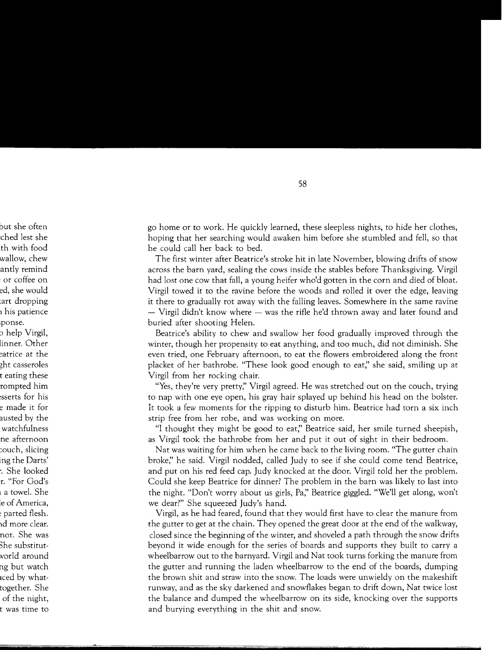go home or to work. He quickly learned, these sleepless nights, to hide her clothes, hoping that her searching would awaken him before she stumbled and fell, so that he could call her back to bed.

The first winter after Beatrice's stroke hit in late November, blowing drifts of snow across the barn yard, sealing the cows inside the stables before Thanksgiving. Virgil had lost one cow that fall, a young heifer who'd gotten in the corn and died of bloat. Virgil towed it to the ravine before the woods and rolled it over the edge, leaving it there to gradually rot away with the falling leaves. Somewhere in the same ravine  $-$  Virgil didn't know where  $-$  was the rifle he'd thrown away and later found and buried after shooting Helen.

Beatrice's ability to chew and swallow her food gradually improved through the winter, though her propensity to eat anything, and too much, did not diminish. She even tried, one February afternoon, to eat the flowers embroidered along the front placket of her bathrobe. "These look good enough to eat;' she said, smiling up at Virgil from her rocking chair.

"Yes, they're very pretty;' Virgil agreed. He was stretched out on the couch, trying to nap with one eye open, his gray hair splayed up behind his head on the bolster. It took a few moments for the ripping to disturb him. Beatrice had torn a six inch strip free from her robe, and was working on more.

"I thought they might be good to eat;' Beatrice said, her smile turned sheepish, as Virgil took the bathrobe from her and put it out of sight in their bedroom.

Nat was waiting for him when he came back to the living room. "The gutter chain broke;' he said. Virgil nodded, called Judy to see if she could come tend Beatrice, and put on his red feed cap. Judy knocked at the door. Virgil told her the problem. Could she keep Beatrice for dinner? The problem in the barn was likely to last into the night. "Don't worry about us girls, Pa;' Beatrice giggled. "We'll get along, won't we dear?" She squeezed Judy's hand.

Virgil, as he had feared, found that they would first have to clear the manure from the gutter to get at the chain. They opened the great door at the end of the walkway, closed since the beginning of the winter, and shoveled a path through the snow drifts beyond it wide enough for the series of boards and supports they built to carry a wheelbarrow out to the barnyard. Virgil and Nat took turns forking the manure from the gutter and running the laden wheelbarrow to the end of the boards, dumping the brown shit and straw into the snow. The loads were unwieldy on the makeshift runway, and as the sky darkened and snowflakes began to drift down, Nat twice lost the balance and dumped the wheelbarrow on its side, knocking over the supports and burying everything in the shit and snow.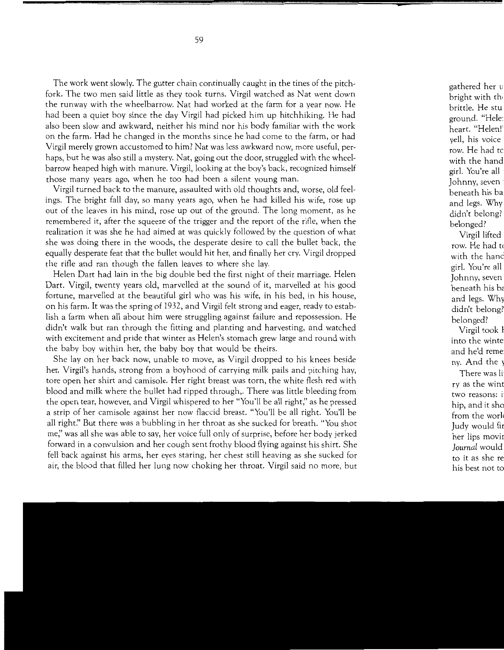The work went slowly. The gutter chain continually caught in the tines of the pitchfork. The two men said little as they took turns. Virgil watched as Nat went down the runway with the wheelbarrow. Nat had worked at the farm for a year now. He had been a quiet boy since the day Virgil had picked him up hitchhiking. He had also been slow and awkward, neither his mind nor his body familiar with the work on the farm. Had he changed in the months since he had come to the farm, or had Virgil merely grown accustomed to him? Nat was less awkward now, more useful, perhaps, but he was also still a mystery. Nat, going out the door, struggled with the wheelbarrow heaped high with manure. Virgil, looking at the boy's back, recognized himself those many years ago, when he too had been a silent young man.

Virgil turned back to the manure, assaulted with old thoughts and, worse, old feelings. The bright fall day, so many years ago, when he had killed his wife, rose up out of the leaves in his mind, rose up out of the ground. The long moment, as he remembered it, after the squeeze of the trigger and the report of the rifle, when the realization it was she he had aimed at was quickly followed by the question of what she was doing there in the woods, the desperate desire to call the bullet back, the equally desperate feat that the bullet would hit her, and finally her cry. Virgil dropped the rifle and ran though the fallen leaves to where she lay.

Helen Dart had lain in the big double bed the first night of their marriage. Helen Dart. Virgil, twenty years old, marvelled at the sound of it, marvelled at his good fortune, marvelled at the beautiful girl who was his wife, in his bed, in his house, on his farm. It was the spring of 1932, and Virgil felt strong and eager, ready to establish a farm when all about him were struggling against failure and repossession. He didn't walk but ran through the fitting and planting and harvesting, and watched with excitement and pride that winter as Helen's stomach grew large and round with the baby boy within her, the baby boy that would be theirs.

She lay on her back now, unable to move, as Virgil dropped to his knees beside her. Virgil's hands, strong from a boyhood of carrying milk pails and pitching hay, tore open her shirt and camisole. Her right breast was torn, the white flesh red with blood and milk where the bullet had ripped through,. There was little bleeding from the open tear, however, and Virgil whispered to her "You'll be all right;' as he pressed a strip of her camisole against her now flaccid breast. "You'll be all right. You'll be all right!' But there was a bubbling in her throat as she sucked for breath. "You shot me;' was all she was able to say, her voice full only of surprise, before her body jerked forward in a convulsion and her cough sent frothy blood flying against his shirt. She fell back against his arms, her eyes staring, her chest still heaving as she sucked for air, the blood that filled her lung now choking her throat. Virgil said no more, but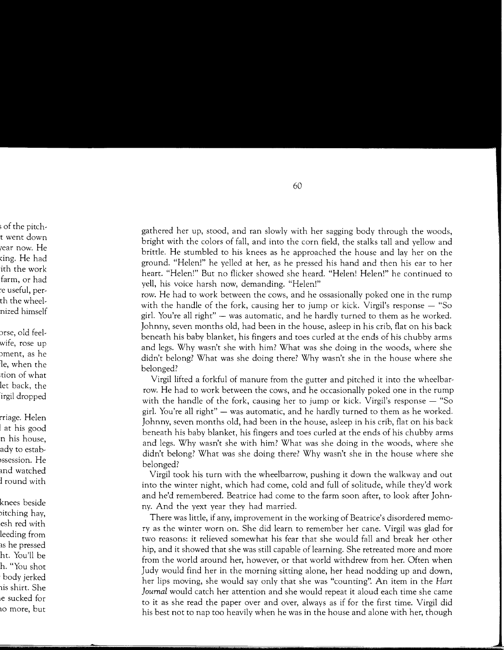gathered her up, stood, and ran slowly with her sagging body through the woods, bright with the colors of fall, and into the corn field, the stalks tall and yellow and brittle. He stumbled to his knees as he approached the house and lay her on the ground. "Helen!" he yelled at her, as he pressed his hand and then his ear to her heart. "Helen!" But no flicker showed she heard. "Helen! Helen!" he continued to yell, his voice harsh now, demanding. "Helen!"

row. He had to work between the cows, and he ossasionally poked one in the rump with the handle of the fork, causing her to jump or kick. Virgil's response  $-$  "So girl. You're all right" - was automatic, and he hardly turned to them as he worked. Johnny, seven months old, had been in the house, asleep in his crib, flat on his back beneath his baby blanket, his fingers and toes curled at the ends of his chubby arms and legs. Why wasn't she with him? What was she doing in the woods, where she didn't belong? What was she doing there? Why wasn't she in the house where she belonged?

Virgil lifted a forkful of manure from the gutter and pitched it into the wheelbarrow. He had to work between the cows, and he occasionally poked one in the rump with the handle of the fork, causing her to jump or kick. Virgil's response  $-$  "So girl. You're all right"  $-$  was automatic, and he hardly turned to them as he worked. Johnny, seven months old, had been in the house, asleep in his crib, flat on his back beneath his baby blanket, his fingers and toes curled at the ends of his chubby arms and legs. Why wasn't she with him? What was she doing in the woods, where she didn't belong? What was she doing there? Why wasn't she in the house where she belonged?

Virgil took his turn with the wheelbarrow, pushing it down the walkway and out into the winter night, which had come, cold and full of solitude, while they'd work and he'd remembered. Beatrice had come to the farm soon after, to look after Johnny. And the yext year they had married.

There was little, if any, improvement in the working of Beatrice's disordered memory as the winter worn on. She did learn to remember her cane. Virgil was glad for two reasons: it relieved somewhat his fear that she would fall and break her other hip, and it showed that she was still capable of learning. She retreated more and more from the world around her, however, or that world withdrew from her. Often when Judy would find her in the morning sitting alone, her head nodding up and down, her lips moving, she would say only that she was "counting". An item in the *Hart Journal* would catch her attention and she would repeat it aloud each time she came to it as she read the paper over and over, always as if for the first time. Virgil did his best not to nap too heavily when he was in the house and alone with her, though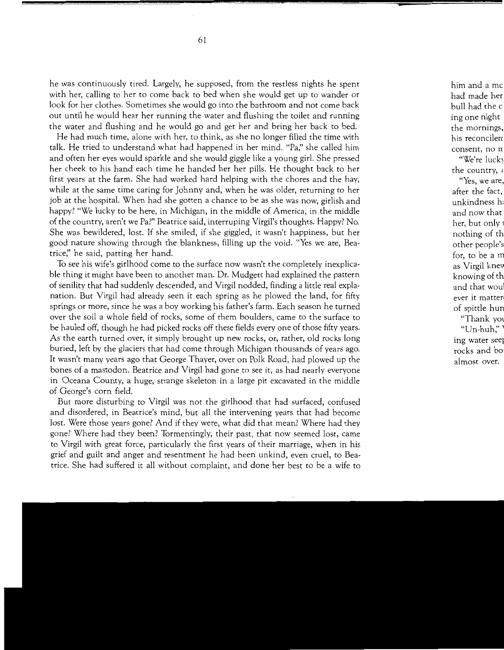he was continuously tired. Largely, he supposed, from the restless nights he spent with her, calling to her to come back to bed when she would get up to wander or look for her clothes. Sometimes she would go into the bathroom and not come back out until he would hear her running the water and flushing the toilet and running the water and flushing and he would go and get her and bring her back to bed.

He had much time, alone with her, to think, as she no longer filled the time with talk. He tried to understand what had happened in her mind. "Pa;' she called him and often her eyes would sparkle and she would giggle like a young girl. She pressed her cheek to his hand each time he handed her her pills. He thought back to her first years at the farm. She had worked hard helping with the chores and the hay, while at the same time caring for Johnny and, when he was older, returning to her job at the hospital. When had she gotten a chance to be as she was now, girlish and happy? "We lucky to be here, in Michigan, in the middle of America, in the middle of the country, aren't we Pa?" Beatrice said, interruping Virgil's thoughts. Happy? No. She was bewildered, lost. If she smiled, if she giggled, it wasn't happiness, but her good nature showing through the blankness, filling up the void. "Yes we are, Beatrice;' he said, patting her hand.

To see his wife's girlhood come to the surface now wasn't the completely inexplicable thing it might have been to another man. Dr. Mudgett had explained the pattern of senility that had suddenly descended, and Virgil nodded, finding a little real explanation. But Virgil had already seen it each spring as he plowed the land, for fifty springs or more, since he was a boy working his father's farm. Each season he turned over the soil a whole field of rocks, some of them boulders, came to the surface to be hauled off, though he had picked rocks off these fields every one of those fifty years. As the earth turned over, it simply brought up new rocks, or, rather, old rocks long buried, left by the glaciers that had come through Michigan thousands of years ago. It wasn't many years ago that George Thayer, over on Polk Road, had plowed up the bones of a mastodon. Beatrice and Virgil had gone to see it, as had nearly everyone in Oceana County, a huge, strange skeleton in a large pit excavated in the middle of George's corn field.

But more disturbing to Virgil was not the girlhood that had surfaced, confused and disordered, in Beatrice's mind, but all the intervening years that had become lost. Were those years gone? And if they were, what did that mean? Where had they gone? Where had they been? Tormentingly, their past, that now seemed lost, came to Virgil with great force, particularly the first years of their marriage, when in his grief and guilt and anger and resentment he had been unkind, even cruel, to Beatrice. She had suffered it all without complaint, and done her best to be a wife to